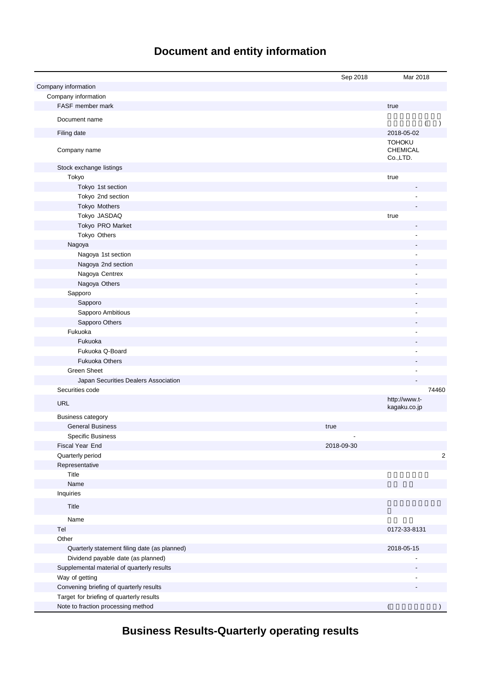## **Document and entity information**

|                                              | Sep 2018   | Mar 2018                                     |
|----------------------------------------------|------------|----------------------------------------------|
| Company information                          |            |                                              |
| Company information                          |            |                                              |
| FASF member mark                             |            | true                                         |
| Document name                                |            | $\lambda$                                    |
| Filing date                                  |            | 2018-05-02                                   |
| Company name                                 |            | <b>TOHOKU</b><br><b>CHEMICAL</b><br>Co.,LTD. |
| Stock exchange listings                      |            |                                              |
| Tokyo                                        |            | true                                         |
| Tokyo 1st section                            |            |                                              |
| Tokyo 2nd section                            |            |                                              |
| Tokyo Mothers                                |            |                                              |
| Tokyo JASDAQ                                 |            | true                                         |
| Tokyo PRO Market                             |            |                                              |
| Tokyo Others                                 |            |                                              |
| Nagoya                                       |            |                                              |
| Nagoya 1st section                           |            |                                              |
| Nagoya 2nd section                           |            |                                              |
| Nagoya Centrex                               |            |                                              |
| Nagoya Others                                |            |                                              |
| Sapporo                                      |            |                                              |
| Sapporo                                      |            |                                              |
| Sapporo Ambitious                            |            |                                              |
| Sapporo Others                               |            |                                              |
| Fukuoka                                      |            |                                              |
| Fukuoka                                      |            |                                              |
| Fukuoka Q-Board                              |            |                                              |
| <b>Fukuoka Others</b>                        |            |                                              |
| <b>Green Sheet</b>                           |            | $\blacksquare$                               |
| Japan Securities Dealers Association         |            |                                              |
| Securities code                              |            | 74460                                        |
| <b>URL</b>                                   |            | http://www.t-<br>kagaku.co.jp                |
| <b>Business category</b>                     |            |                                              |
| <b>General Business</b>                      | true       |                                              |
| <b>Specific Business</b>                     |            |                                              |
| Fiscal Year End                              | 2018-09-30 |                                              |
| Quarterly period                             |            | 2                                            |
| Representative                               |            |                                              |
| Title                                        |            |                                              |
| Name                                         |            |                                              |
| Inquiries                                    |            |                                              |
| Title                                        |            |                                              |
| Name                                         |            |                                              |
| Tel                                          |            | 0172-33-8131                                 |
| Other                                        |            |                                              |
| Quarterly statement filing date (as planned) |            | 2018-05-15                                   |
| Dividend payable date (as planned)           |            |                                              |
| Supplemental material of quarterly results   |            |                                              |
| Way of getting                               |            |                                              |
| Convening briefing of quarterly results      |            |                                              |
| Target for briefing of quarterly results     |            |                                              |
| Note to fraction processing method           |            | (                                            |

**Business Results-Quarterly operating results**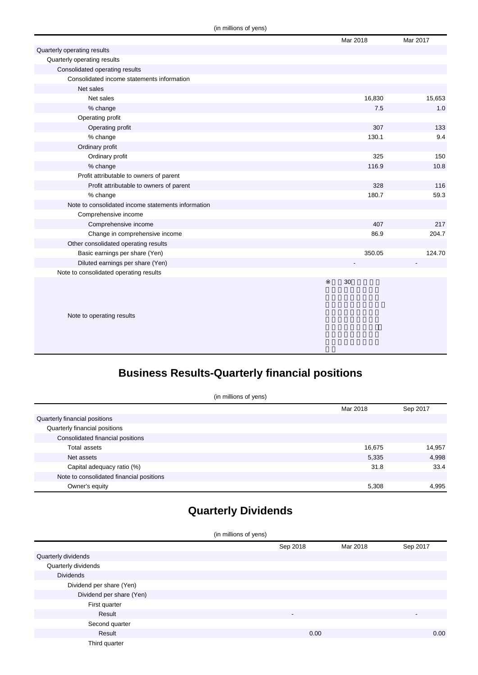|                                                    | Mar 2018 | Mar 2017 |
|----------------------------------------------------|----------|----------|
| Quarterly operating results                        |          |          |
| Quarterly operating results                        |          |          |
| Consolidated operating results                     |          |          |
| Consolidated income statements information         |          |          |
| Net sales                                          |          |          |
| Net sales                                          | 16,830   | 15,653   |
| % change                                           | 7.5      | 1.0      |
| Operating profit                                   |          |          |
| Operating profit                                   | 307      | 133      |
| % change                                           | 130.1    | 9.4      |
| Ordinary profit                                    |          |          |
| Ordinary profit                                    | 325      | 150      |
| % change                                           | 116.9    | 10.8     |
| Profit attributable to owners of parent            |          |          |
| Profit attributable to owners of parent            | 328      | 116      |
| % change                                           | 180.7    | 59.3     |
| Note to consolidated income statements information |          |          |
| Comprehensive income                               |          |          |
| Comprehensive income                               | 407      | 217      |
| Change in comprehensive income                     | 86.9     | 204.7    |
| Other consolidated operating results               |          |          |
| Basic earnings per share (Yen)                     | 350.05   | 124.70   |
| Diluted earnings per share (Yen)                   |          |          |
| Note to consolidated operating results             |          |          |
|                                                    | 30       |          |

Note to operating results

## **Business Results-Quarterly financial positions**

| (in millions of yens)                    |          |          |
|------------------------------------------|----------|----------|
|                                          | Mar 2018 | Sep 2017 |
| Quarterly financial positions            |          |          |
| Quarterly financial positions            |          |          |
| Consolidated financial positions         |          |          |
| Total assets                             | 16,675   | 14,957   |
| Net assets                               | 5,335    | 4,998    |
| Capital adequacy ratio (%)               | 31.8     | 33.4     |
| Note to consolidated financial positions |          |          |
| Owner's equity                           | 5,308    | 4,995    |

## **Quarterly Dividends**

|                          | (in millions of yens)    |          |                          |
|--------------------------|--------------------------|----------|--------------------------|
|                          | Sep 2018                 | Mar 2018 | Sep 2017                 |
| Quarterly dividends      |                          |          |                          |
| Quarterly dividends      |                          |          |                          |
| <b>Dividends</b>         |                          |          |                          |
| Dividend per share (Yen) |                          |          |                          |
| Dividend per share (Yen) |                          |          |                          |
| First quarter            |                          |          |                          |
| Result                   | $\overline{\phantom{a}}$ |          | $\overline{\phantom{a}}$ |
| Second quarter           |                          |          |                          |
| Result                   | 0.00                     |          | 0.00                     |
| Third quarter            |                          |          |                          |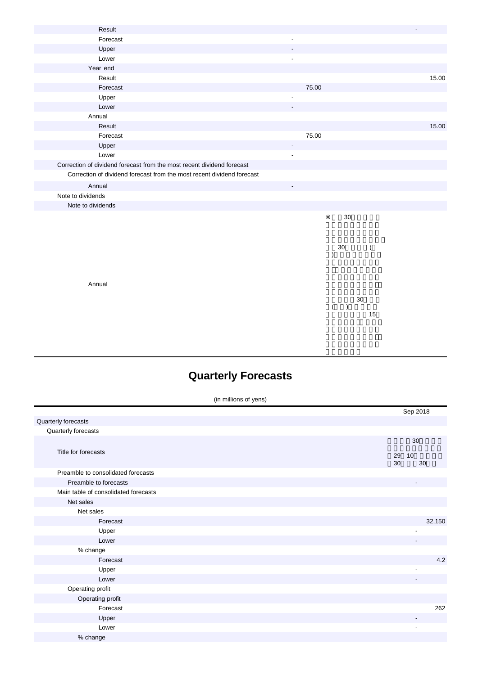| Result                                                                 |                          |       |
|------------------------------------------------------------------------|--------------------------|-------|
| Forecast                                                               | $\overline{\phantom{a}}$ |       |
| Upper                                                                  |                          |       |
| Lower                                                                  | ٠                        |       |
| Year end                                                               |                          |       |
| Result                                                                 |                          | 15.00 |
| Forecast                                                               | 75.00                    |       |
| Upper                                                                  | ٠                        |       |
| Lower                                                                  |                          |       |
| Annual                                                                 |                          |       |
| Result                                                                 |                          | 15.00 |
| Forecast                                                               | 75.00                    |       |
| Upper                                                                  |                          |       |
| Lower                                                                  | $\overline{a}$           |       |
| Correction of dividend forecast from the most recent dividend forecast |                          |       |
| Correction of dividend forecast from the most recent dividend forecast |                          |       |
| Annual                                                                 |                          |       |
| Note to dividends                                                      |                          |       |
| Note to dividends                                                      |                          |       |
|                                                                        | 30                       |       |
|                                                                        |                          |       |
|                                                                        |                          |       |
|                                                                        | 30<br>(                  |       |
|                                                                        |                          |       |
|                                                                        |                          |       |
|                                                                        |                          |       |
| Annual                                                                 |                          |       |
|                                                                        |                          |       |
|                                                                        | 30                       |       |

# **Quarterly Forecasts**

the contract of  $\sim$  15

|  | (in millions of yens) |  |  |  |
|--|-----------------------|--|--|--|
|--|-----------------------|--|--|--|

|                                      | Sep 2018                 |
|--------------------------------------|--------------------------|
| Quarterly forecasts                  |                          |
| Quarterly forecasts                  |                          |
|                                      | 30                       |
| Title for forecasts                  | 29<br>10                 |
|                                      | 30<br>30                 |
| Preamble to consolidated forecasts   |                          |
| Preamble to forecasts                |                          |
| Main table of consolidated forecasts |                          |
| Net sales                            |                          |
| Net sales                            |                          |
| Forecast                             | 32,150                   |
| Upper                                |                          |
| Lower                                |                          |
| % change                             |                          |
| Forecast                             | 4.2                      |
| Upper                                | $\overline{\phantom{a}}$ |
| Lower                                |                          |
| Operating profit                     |                          |
| Operating profit                     |                          |
| Forecast                             | 262                      |
| Upper                                |                          |
| Lower                                | $\blacksquare$           |
| % change                             |                          |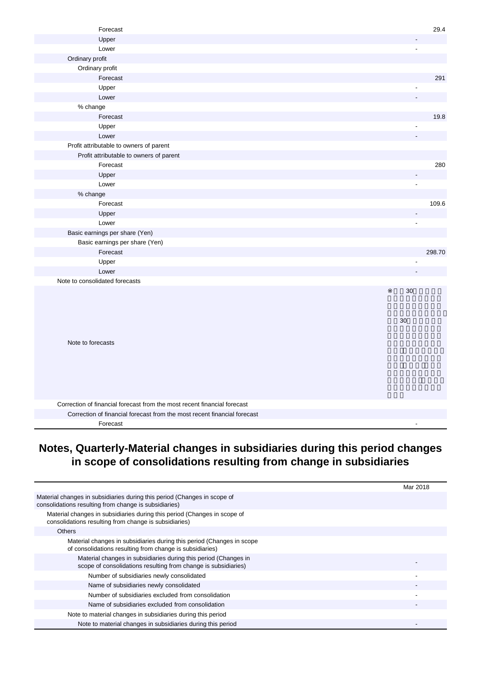| Forecast                                                                 |                | 29.4   |
|--------------------------------------------------------------------------|----------------|--------|
| Upper                                                                    | $\overline{a}$ |        |
| Lower                                                                    | $\Box$         |        |
| Ordinary profit                                                          |                |        |
| Ordinary profit                                                          |                |        |
| Forecast                                                                 |                | 291    |
| Upper                                                                    |                |        |
| Lower                                                                    |                |        |
| % change                                                                 |                |        |
| Forecast                                                                 |                | 19.8   |
| Upper                                                                    |                |        |
| Lower                                                                    |                |        |
| Profit attributable to owners of parent                                  |                |        |
| Profit attributable to owners of parent                                  |                |        |
| Forecast                                                                 |                | 280    |
| Upper                                                                    |                |        |
| Lower                                                                    | $\overline{a}$ |        |
| % change                                                                 |                |        |
| Forecast                                                                 |                | 109.6  |
| Upper                                                                    |                |        |
| Lower                                                                    | L              |        |
| Basic earnings per share (Yen)                                           |                |        |
| Basic earnings per share (Yen)                                           |                |        |
| Forecast                                                                 |                | 298.70 |
| Upper                                                                    |                |        |
| Lower                                                                    |                |        |
| Note to consolidated forecasts                                           |                |        |
|                                                                          | 30             |        |
|                                                                          |                |        |
|                                                                          |                |        |
|                                                                          | 30             |        |
|                                                                          |                |        |
| Note to forecasts                                                        |                |        |
|                                                                          |                |        |
|                                                                          |                |        |
|                                                                          |                |        |
|                                                                          |                |        |
|                                                                          |                |        |
|                                                                          |                |        |
| Correction of financial forecast from the most recent financial forecast |                |        |
| Correction of financial forecast from the most recent financial forecast |                |        |
| Forecast                                                                 | $\blacksquare$ |        |

#### **Notes, Quarterly-Material changes in subsidiaries during this period changes in scope of consolidations resulting from change in subsidiaries**

|                                                                                                                                   | Mar 2018 |
|-----------------------------------------------------------------------------------------------------------------------------------|----------|
| Material changes in subsidiaries during this period (Changes in scope of<br>consolidations resulting from change is subsidiaries) |          |
| Material changes in subsidiaries during this period (Changes in scope of<br>consolidations resulting from change is subsidiaries) |          |
| <b>Others</b>                                                                                                                     |          |
| Material changes in subsidiaries during this period (Changes in scope<br>of consolidations resulting from change is subsidiaries) |          |
| Material changes in subsidiaries during this period (Changes in<br>scope of consolidations resulting from change is subsidiaries) |          |
| Number of subsidiaries newly consolidated                                                                                         |          |
| Name of subsidiaries newly consolidated                                                                                           |          |
| Number of subsidiaries excluded from consolidation                                                                                |          |
| Name of subsidiaries excluded from consolidation                                                                                  |          |
| Note to material changes in subsidiaries during this period                                                                       |          |
| Note to material changes in subsidiaries during this period                                                                       |          |